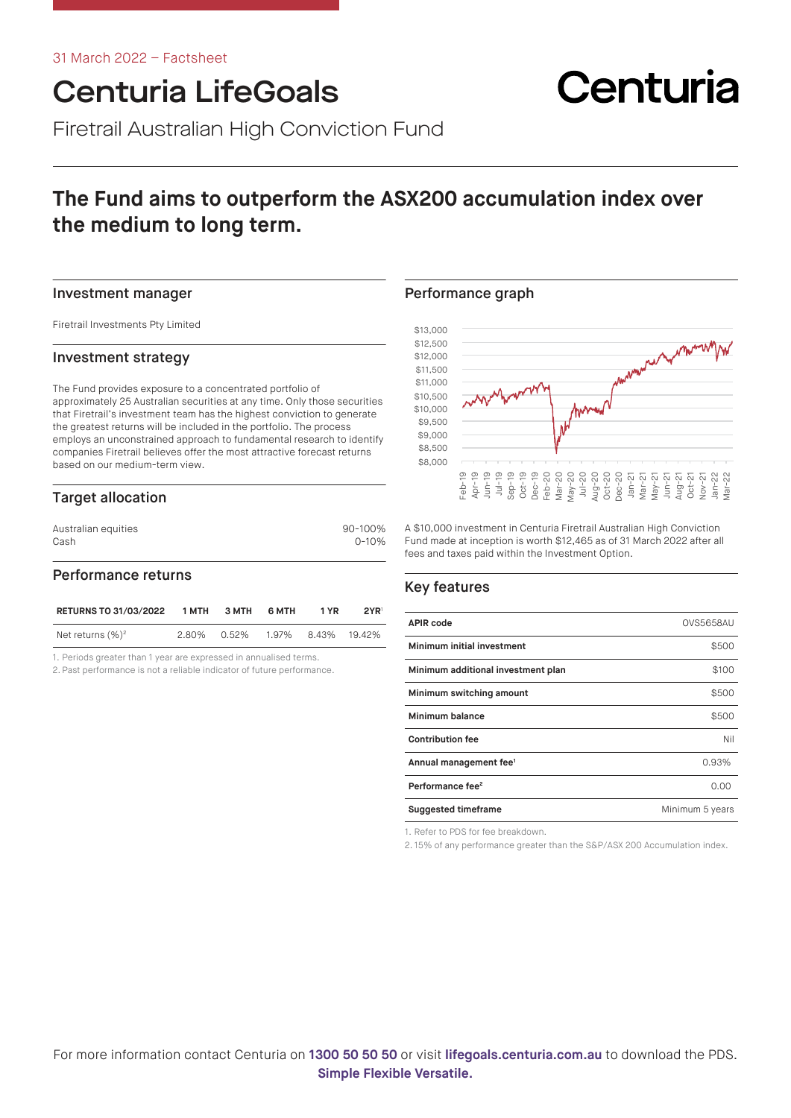# Centuria LifeGoals

Firetrail Australian High Conviction Fund

# **The Fund aims to outperform the ASX200 accumulation index over the medium to long term.**

#### Investment manager

Firetrail Investments Pty Limited

### Investment strategy

The Fund provides exposure to a concentrated portfolio of approximately 25 Australian securities at any time. Only those securities that Firetrail's investment team has the highest conviction to generate the greatest returns will be included in the portfolio. The process employs an unconstrained approach to fundamental research to identify companies Firetrail believes offer the most attractive forecast returns based on our medium-term view.

# Target allocation

| Australian equities | 90-100%   |  |  |
|---------------------|-----------|--|--|
| Cash                | $0 - 10%$ |  |  |

## Performance returns

| <b>RETURNS TO 31/03/2022</b> | 1 MTH | 3 MTH | 6 MTH       | 1 YR | 2YR    |
|------------------------------|-------|-------|-------------|------|--------|
| Net returns $(\%)^2$         | 2.80% | 0.52% | 1.97% 8.43% |      | 19.42% |

1. Periods greater than 1 year are expressed in annualised terms.

2. Past performance is not a reliable indicator of future performance.

### Performance graph



Centuria

A \$10,000 investment in Centuria Firetrail Australian High Conviction Fund made at inception is worth \$12,465 as of 31 March 2022 after all fees and taxes paid within the Investment Option.

# Key features

| <b>APIR code</b>                   | <b>OVS5658AU</b> |
|------------------------------------|------------------|
| Minimum initial investment         | \$500            |
| Minimum additional investment plan | \$100            |
| Minimum switching amount           | \$500            |
| Minimum balance                    | \$500            |
| <b>Contribution fee</b>            | Nil              |
| Annual management fee <sup>1</sup> | 0.93%            |
| Performance fee <sup>2</sup>       | 0.00             |
| <b>Suggested timeframe</b>         | Minimum 5 years  |

1. Refer to PDS for fee breakdown.

2. 15% of any performance greater than the S&P/ASX 200 Accumulation index.